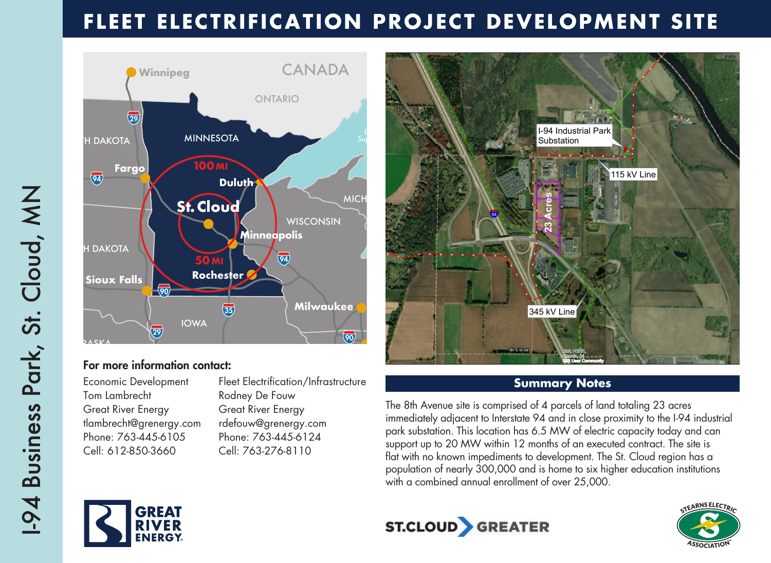# **FLEET ELECTRIFICATION PROJECT DEVELOPMENT SITE**



### For more information contact: **Omaha**

Economic Development Fleet Electrification/Infrastructure Tom Lambrecht Rodney De Fouw Great River Energy Great River Energy tlambrecht@grenergy.com rdefouw@grenergy.com Phone: 763-445-6105 Phone: 763-445-6124 Cell: 612-850-3660 Cell: 763-276-8110 Economic Development

KANSAS MISSOURI PARAMETER PARAMETER



## **Summary Notes**

The 8th Avenue site is comprised of 4 parcels of land totaling 23 acres  $\overline{\phantom{a}}$ immediately adjacent to Interstate 94 and in close proximity to the I-94 industrial park substation. This location has 6.5 MW of electric capacity today and can support up to 20 MW within 12 months of an executed contract. The site is flat with no known impediments to development. The St. Cloud region has a population of nearly 300,000 and is home to six higher education institutions with a combined annual enrollment of over 25,000.